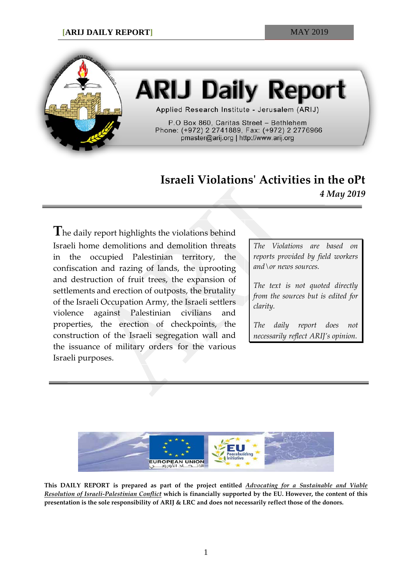

# **ARIJ Daily Report**

Applied Research Institute - Jerusalem (ARIJ)

P.O Box 860, Caritas Street - Bethlehem Phone: (+972) 2 2741889, Fax: (+972) 2 2776966 pmaster@arij.org | http://www.arij.org

## **Israeli Violations' Activities in the oPt** *4 May 2019*

**T**he daily report highlights the violations behind Israeli home demolitions and demolition threats in the occupied Palestinian territory, the confiscation and razing of lands, the uprooting and destruction of fruit trees, the expansion of settlements and erection of outposts, the brutality of the Israeli Occupation Army, the Israeli settlers violence against Palestinian civilians and properties, the erection of checkpoints, the construction of the Israeli segregation wall and the issuance of military orders for the various Israeli purposes.

*The Violations are based on reports provided by field workers and\or news sources.*

*The text is not quoted directly from the sources but is edited for clarity.*

*The daily report does not necessarily reflect ARIJ's opinion.*



**This DAILY REPORT is prepared as part of the project entitled** *Advocating for a Sustainable and Viable Resolution of Israeli-Palestinian Conflict* **which is financially supported by the EU. However, the content of this presentation is the sole responsibility of ARIJ & LRC and does not necessarily reflect those of the donors.**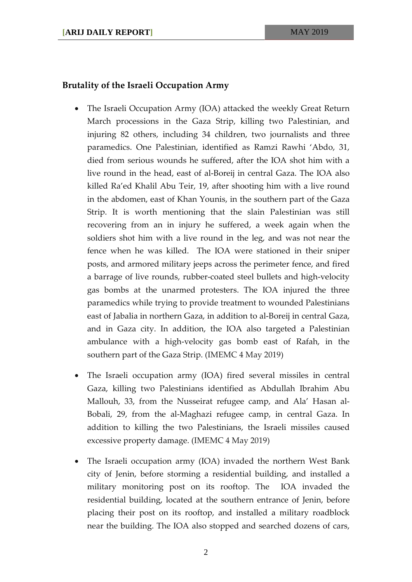#### **Brutality of the Israeli Occupation Army**

- The Israeli Occupation Army (IOA) attacked the weekly Great Return March processions in the Gaza Strip, killing two Palestinian, and injuring 82 others, including 34 children, two journalists and three paramedics. One Palestinian, identified as Ramzi Rawhi 'Abdo, 31, died from serious wounds he suffered, after the IOA shot him with a live round in the head, east of al-Boreij in central Gaza. The IOA also killed Ra'ed Khalil Abu Teir, 19, after shooting him with a live round in the abdomen, east of Khan Younis, in the southern part of the Gaza Strip. It is worth mentioning that the slain Palestinian was still recovering from an in injury he suffered, a week again when the soldiers shot him with a live round in the leg, and was not near the fence when he was killed. The IOA were stationed in their sniper posts, and armored military jeeps across the perimeter fence, and fired a barrage of live rounds, rubber-coated steel bullets and high-velocity gas bombs at the unarmed protesters. The IOA injured the three paramedics while trying to provide treatment to wounded Palestinians east of Jabalia in northern Gaza, in addition to al-Boreij in central Gaza, and in Gaza city. In addition, the IOA also targeted a Palestinian ambulance with a high-velocity gas bomb east of Rafah, in the southern part of the Gaza Strip. (IMEMC 4 May 2019)
- The Israeli occupation army (IOA) fired several missiles in central Gaza, killing two Palestinians identified as Abdullah Ibrahim Abu Mallouh, 33, from the Nusseirat refugee camp, and Ala' Hasan al-Bobali, 29, from the al-Maghazi refugee camp, in central Gaza. In addition to killing the two Palestinians, the Israeli missiles caused excessive property damage. (IMEMC 4 May 2019)
- The Israeli occupation army (IOA) invaded the northern West Bank city of Jenin, before storming a residential building, and installed a military monitoring post on its rooftop. The IOA invaded the residential building, located at the southern entrance of Jenin, before placing their post on its rooftop, and installed a military roadblock near the building. The IOA also stopped and searched dozens of cars,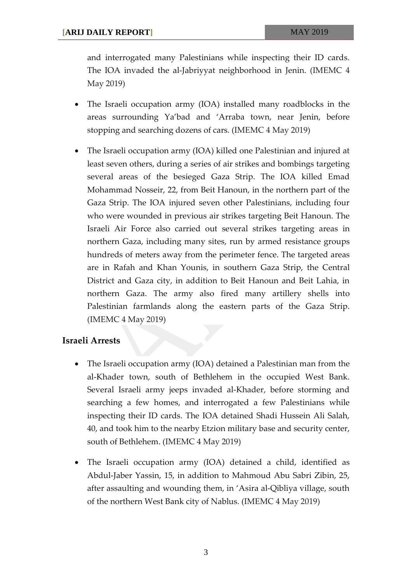and interrogated many Palestinians while inspecting their ID cards. The IOA invaded the al-Jabriyyat neighborhood in Jenin. (IMEMC 4 May 2019)

- The Israeli occupation army (IOA) installed many roadblocks in the areas surrounding Ya'bad and 'Arraba town, near Jenin, before stopping and searching dozens of cars. (IMEMC 4 May 2019)
- The Israeli occupation army (IOA) killed one Palestinian and injured at least seven others, during a series of air strikes and bombings targeting several areas of the besieged Gaza Strip. The IOA killed Emad Mohammad Nosseir, 22, from Beit Hanoun, in the northern part of the Gaza Strip. The IOA injured seven other Palestinians, including four who were wounded in previous air strikes targeting Beit Hanoun. The Israeli Air Force also carried out several strikes targeting areas in northern Gaza, including many sites, run by armed resistance groups hundreds of meters away from the perimeter fence. The targeted areas are in Rafah and Khan Younis, in southern Gaza Strip, the Central District and Gaza city, in addition to Beit Hanoun and Beit Lahia, in northern Gaza. The army also fired many artillery shells into Palestinian farmlands along the eastern parts of the Gaza Strip. (IMEMC 4 May 2019)

#### **Israeli Arrests**

- The Israeli occupation army (IOA) detained a Palestinian man from the al-Khader town, south of Bethlehem in the occupied West Bank. Several Israeli army jeeps invaded al-Khader, before storming and searching a few homes, and interrogated a few Palestinians while inspecting their ID cards. The IOA detained Shadi Hussein Ali Salah, 40, and took him to the nearby Etzion military base and security center, south of Bethlehem. (IMEMC 4 May 2019)
- The Israeli occupation army (IOA) detained a child, identified as Abdul-Jaber Yassin, 15, in addition to Mahmoud Abu Sabri Zibin, 25, after assaulting and wounding them, in 'Asira al-Qibliya village, south of the northern West Bank city of Nablus. (IMEMC 4 May 2019)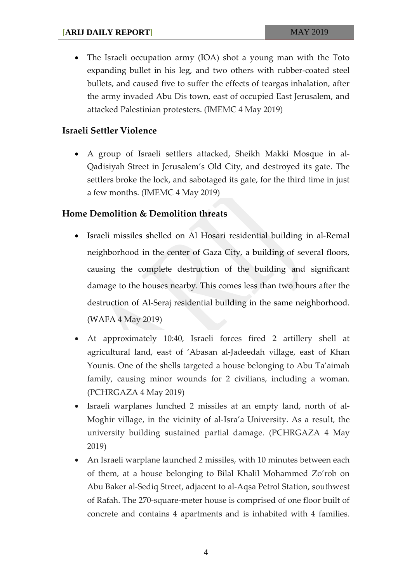• The Israeli occupation army (IOA) shot a young man with the Toto expanding bullet in his leg, and two others with rubber-coated steel bullets, and caused five to suffer the effects of teargas inhalation, after the army invaded Abu Dis town, east of occupied East Jerusalem, and attacked Palestinian protesters. (IMEMC 4 May 2019)

### **Israeli Settler Violence**

• A group of Israeli settlers attacked, Sheikh Makki Mosque in al-Qadisiyah Street in Jerusalem's Old City, and destroyed its gate. The settlers broke the lock, and sabotaged its gate, for the third time in just a few months. (IMEMC 4 May 2019)

#### **Home Demolition & Demolition threats**

- Israeli missiles shelled on Al Hosari residential building in al-Remal neighborhood in the center of Gaza City, a building of several floors, causing the complete destruction of the building and significant damage to the houses nearby. This comes less than two hours after the destruction of Al-Seraj residential building in the same neighborhood. (WAFA 4 May 2019)
- At approximately 10:40, Israeli forces fired 2 artillery shell at agricultural land, east of 'Abasan al-Jadeedah village, east of Khan Younis. One of the shells targeted a house belonging to Abu Ta'aimah family, causing minor wounds for 2 civilians, including a woman. (PCHRGAZA 4 May 2019)
- Israeli warplanes lunched 2 missiles at an empty land, north of al-Moghir village, in the vicinity of al-Isra'a University. As a result, the university building sustained partial damage. (PCHRGAZA 4 May 2019)
- An Israeli warplane launched 2 missiles, with 10 minutes between each of them, at a house belonging to Bilal Khalil Mohammed Zo'rob on Abu Baker al-Sediq Street, adjacent to al-Aqsa Petrol Station, southwest of Rafah. The 270-square-meter house is comprised of one floor built of concrete and contains 4 apartments and is inhabited with 4 families.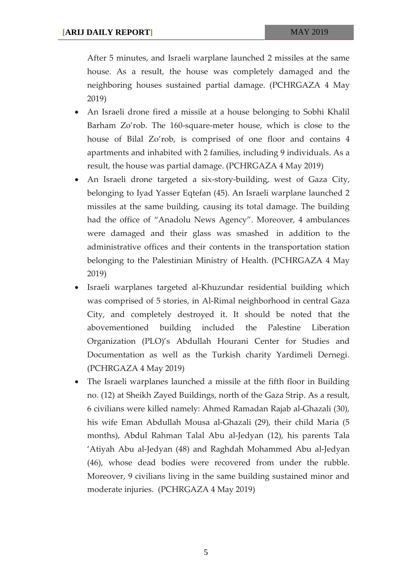After 5 minutes, and Israeli warplane launched 2 missiles at the same house. As a result, the house was completely damaged and the neighboring houses sustained partial damage. (PCHRGAZA 4 May 2019)

- An Israeli drone fired a missile at a house belonging to Sobhi Khalil Barham Zo'rob. The 160-square-meter house, which is close to the house of Bilal Zo'rob, is comprised of one floor and contains 4 apartments and inhabited with 2 families, including 9 individuals. As a result, the house was partial damage. (PCHRGAZA 4 May 2019)
- An Israeli drone targeted a six-story-building, west of Gaza City, belonging to Iyad Yasser Eqtefan (45). An Israeli warplane launched 2 missiles at the same building, causing its total damage. The building had the office of "Anadolu News Agency". Moreover, 4 ambulances were damaged and their glass was smashed in addition to the administrative offices and their contents in the transportation station belonging to the Palestinian Ministry of Health. (PCHRGAZA 4 May 2019)
- Israeli warplanes targeted al-Khuzundar residential building which was comprised of 5 stories, in Al-Rimal neighborhood in central Gaza City, and completely destroyed it. It should be noted that the abovementioned building included the Palestine Liberation Organization (PLO)'s Abdullah Hourani Center for Studies and Documentation as well as the Turkish charity Yardimeli Dernegi. (PCHRGAZA 4 May 2019)
- The Israeli warplanes launched a missile at the fifth floor in Building no. (12) at Sheikh Zayed Buildings, north of the Gaza Strip. As a result, 6 civilians were killed namely: Ahmed Ramadan Rajab al-Ghazali (30), his wife Eman Abdullah Mousa al-Ghazali (29), their child Maria (5 months), Abdul Rahman Talal Abu al-Jedyan (12), his parents Tala 'Atiyah Abu al-Jedyan (48) and Raghdah Mohammed Abu al-Jedyan (46), whose dead bodies were recovered from under the rubble. Moreover, 9 civilians living in the same building sustained minor and moderate injuries. (PCHRGAZA 4 May 2019)